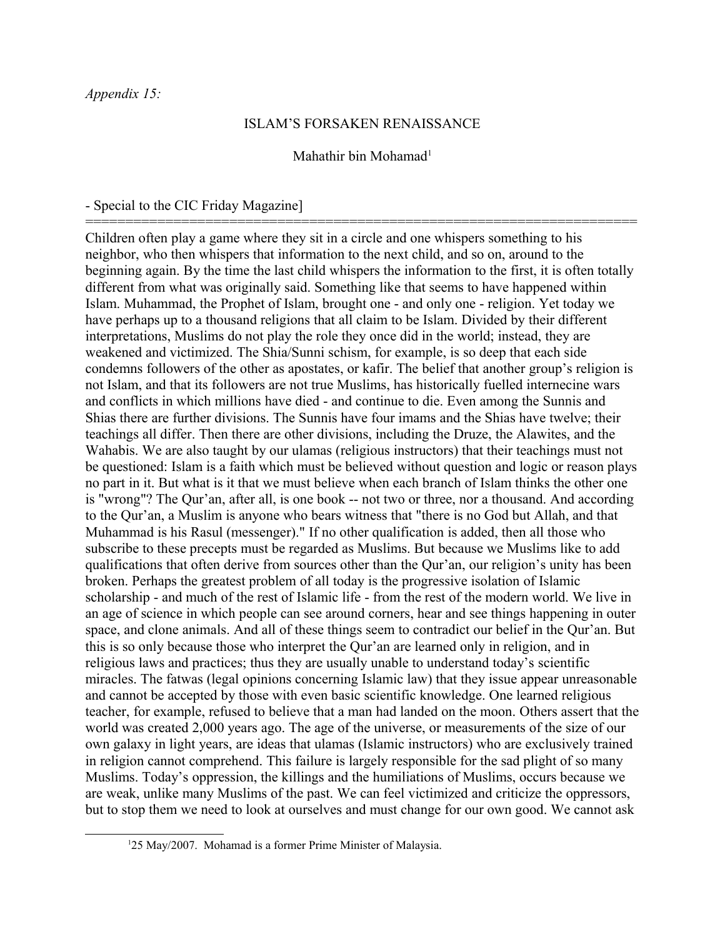## ISLAM'S FORSAKEN RENAISSANCE

## Mahathir bin Mohamad<sup>[1](#page-0-0)</sup>

=====================================================================

## - Special to the CIC Friday Magazine]

Children often play a game where they sit in a circle and one whispers something to his neighbor, who then whispers that information to the next child, and so on, around to the beginning again. By the time the last child whispers the information to the first, it is often totally different from what was originally said. Something like that seems to have happened within Islam. Muhammad, the Prophet of Islam, brought one - and only one - religion. Yet today we have perhaps up to a thousand religions that all claim to be Islam. Divided by their different interpretations, Muslims do not play the role they once did in the world; instead, they are weakened and victimized. The Shia/Sunni schism, for example, is so deep that each side condemns followers of the other as apostates, or kafir. The belief that another group's religion is not Islam, and that its followers are not true Muslims, has historically fuelled internecine wars and conflicts in which millions have died - and continue to die. Even among the Sunnis and Shias there are further divisions. The Sunnis have four imams and the Shias have twelve; their teachings all differ. Then there are other divisions, including the Druze, the Alawites, and the Wahabis. We are also taught by our ulamas (religious instructors) that their teachings must not be questioned: Islam is a faith which must be believed without question and logic or reason plays no part in it. But what is it that we must believe when each branch of Islam thinks the other one is "wrong"? The Qur'an, after all, is one book -- not two or three, nor a thousand. And according to the Qur'an, a Muslim is anyone who bears witness that "there is no God but Allah, and that Muhammad is his Rasul (messenger)." If no other qualification is added, then all those who subscribe to these precepts must be regarded as Muslims. But because we Muslims like to add qualifications that often derive from sources other than the Qur'an, our religion's unity has been broken. Perhaps the greatest problem of all today is the progressive isolation of Islamic scholarship - and much of the rest of Islamic life - from the rest of the modern world. We live in an age of science in which people can see around corners, hear and see things happening in outer space, and clone animals. And all of these things seem to contradict our belief in the Qur'an. But this is so only because those who interpret the Qur'an are learned only in religion, and in religious laws and practices; thus they are usually unable to understand today's scientific miracles. The fatwas (legal opinions concerning Islamic law) that they issue appear unreasonable and cannot be accepted by those with even basic scientific knowledge. One learned religious teacher, for example, refused to believe that a man had landed on the moon. Others assert that the world was created 2,000 years ago. The age of the universe, or measurements of the size of our own galaxy in light years, are ideas that ulamas (Islamic instructors) who are exclusively trained in religion cannot comprehend. This failure is largely responsible for the sad plight of so many Muslims. Today's oppression, the killings and the humiliations of Muslims, occurs because we are weak, unlike many Muslims of the past. We can feel victimized and criticize the oppressors, but to stop them we need to look at ourselves and must change for our own good. We cannot ask

<span id="page-0-0"></span><sup>&</sup>lt;sup>1</sup>25 May/2007. Mohamad is a former Prime Minister of Malaysia.